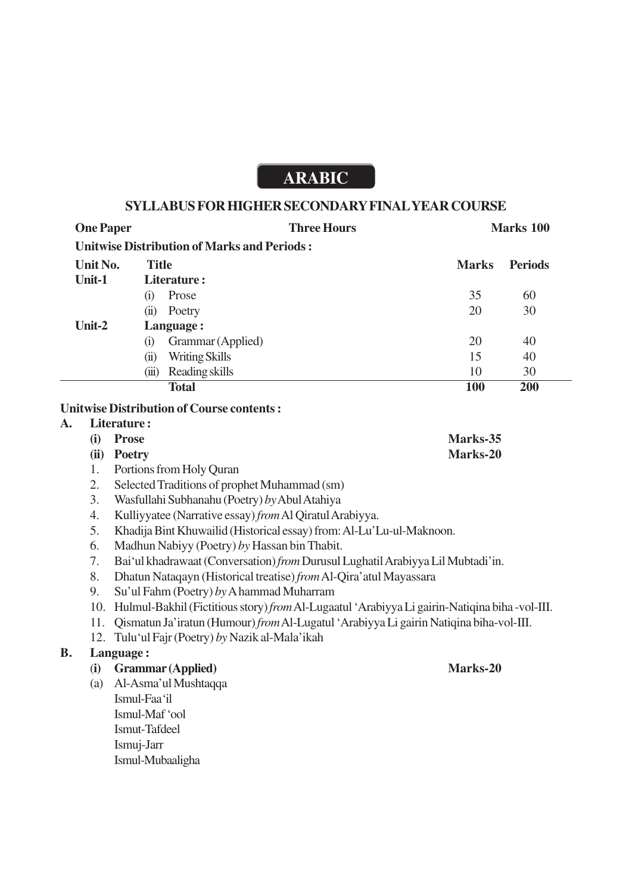## **ARABIC**

## **SYLLABUS FOR HIGHER SECONDARY FINAL YEAR COURSE**

| <b>One Paper</b> | <b>Three Hours</b>                                 |  | Marks 100    |                |
|------------------|----------------------------------------------------|--|--------------|----------------|
|                  | <b>Unitwise Distribution of Marks and Periods:</b> |  |              |                |
| Unit No.         | <b>Title</b>                                       |  | <b>Marks</b> | <b>Periods</b> |
| Unit-1           | Literature:                                        |  |              |                |
|                  | Prose<br>$\left( 1 \right)$                        |  | 35           | 60             |
|                  | Poetry<br>$\ddot{\textbf{u}}$                      |  | 20           | 30             |
| Unit-2           | Language:                                          |  |              |                |
|                  | Grammar (Applied)<br>(i)                           |  | 20           | 40             |
|                  | Writing Skills<br>(ii)                             |  | 15           | 40             |
|                  | Reading skills<br>(iii)                            |  | 10           | 30             |
|                  | <b>Total</b>                                       |  | <b>100</b>   | <b>200</b>     |

## **Unitwise Distribution of Course contents :**

| Literature: |                                                                              |          |  |
|-------------|------------------------------------------------------------------------------|----------|--|
| (i)         | Prose                                                                        | Marks-35 |  |
|             | (ii) Poetry                                                                  | Marks-20 |  |
|             | 1. Portions from Holy Quran                                                  |          |  |
|             | $\Omega$ $\Omega$ algebra $\Gamma$ unditions of muon leat Mulgamenta d (such |          |  |

- 2. Selected Traditions of prophet Muhammad (sm)
- 3. Wasfullahi Subhanahu (Poetry) *by* Abul Atahiya
- 4. Kulliyyatee (Narrative essay) *from* Al Qiratul Arabiyya.
- 5. Khadija Bint Khuwailid (Historical essay) from: Al-Lu'Lu-ul-Maknoon.
- 6. Madhun Nabiyy (Poetry) *by* Hassan bin Thabit.
- 7. Bai'ul khadrawaat (Conversation) *from* Durusul Lughatil Arabiyya Lil Mubtadi'in.
- 8. Dhatun Nataqayn (Historical treatise) *from* Al-Qira'atul Mayassara
- 9. Su'ul Fahm (Poetry) *by* A hammad Muharram
- 10. Hulmul-Bakhil (Fictitious story) *from* Al-Lugaatul 'Arabiyya Li gairin-Natiqina biha -vol-III.
- 11. Qismatun Ja'iratun (Humour) *from* Al-Lugatul 'Arabiyya Li gairin Natiqina biha-vol-III.
- 12. Tulu'ul Fajr (Poetry) *by* Nazik al-Mala'ikah

## **B. Language :**

A.

- (**i) Grammar (Applied) Marks-20**
- (a) Al-Asma'ul Mushtaqqa
	- Ismul-Faa'il Ismul-Maf 'ool Ismut-Tafdeel Ismuj-Jarr Ismul-Mubaaligha